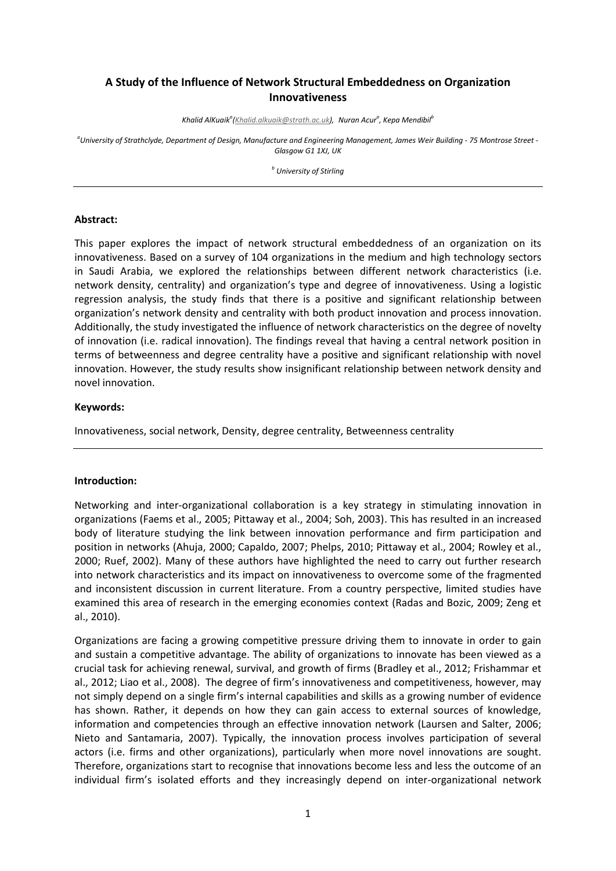# **A Study of the Influence of Network Structural Embeddedness on Organization Innovativeness**

*Khalid AlKuaik<sup>a</sup> [\(Khalid.alkuaik@strath.ac.uk\),](mailto:Khalid.alkuaik@strath.ac.uk) Nuran Acur<sup>a</sup> , Kepa Mendibil<sup>b</sup>*

*a University of Strathclyde, Department of Design, Manufacture and Engineering Management, James Weir Building - 75 Montrose Street - Glasgow G1 1XJ, UK*

*b University of Stirling*

#### **Abstract:**

This paper explores the impact of network structural embeddedness of an organization on its innovativeness. Based on a survey of 104 organizations in the medium and high technology sectors in Saudi Arabia, we explored the relationships between different network characteristics (i.e. network density, centrality) and organization's type and degree of innovativeness. Using a logistic regression analysis, the study finds that there is a positive and significant relationship between organization's network density and centrality with both product innovation and process innovation. Additionally, the study investigated the influence of network characteristics on the degree of novelty of innovation (i.e. radical innovation). The findings reveal that having a central network position in terms of betweenness and degree centrality have a positive and significant relationship with novel innovation. However, the study results show insignificant relationship between network density and novel innovation.

## **Keywords:**

Innovativeness, social network, Density, degree centrality, Betweenness centrality

## **Introduction:**

Networking and inter-organizational collaboration is a key strategy in stimulating innovation in organizations (Faems et al., 2005; Pittaway et al., 2004; Soh, 2003). This has resulted in an increased body of literature studying the link between innovation performance and firm participation and position in networks (Ahuja, 2000; Capaldo, 2007; Phelps, 2010; Pittaway et al., 2004; Rowley et al., 2000; Ruef, 2002). Many of these authors have highlighted the need to carry out further research into network characteristics and its impact on innovativeness to overcome some of the fragmented and inconsistent discussion in current literature. From a country perspective, limited studies have examined this area of research in the emerging economies context (Radas and Bozic, 2009; Zeng et al., 2010).

Organizations are facing a growing competitive pressure driving them to innovate in order to gain and sustain a competitive advantage. The ability of organizations to innovate has been viewed as a crucial task for achieving renewal, survival, and growth of firms (Bradley et al., 2012; Frishammar et al., 2012; Liao et al., 2008). The degree of firm's innovativeness and competitiveness, however, may not simply depend on a single firm's internal capabilities and skills as a growing number of evidence has shown. Rather, it depends on how they can gain access to external sources of knowledge, information and competencies through an effective innovation network (Laursen and Salter, 2006; Nieto and Santamaria, 2007). Typically, the innovation process involves participation of several actors (i.e. firms and other organizations), particularly when more novel innovations are sought. Therefore, organizations start to recognise that innovations become less and less the outcome of an individual firm's isolated efforts and they increasingly depend on inter-organizational network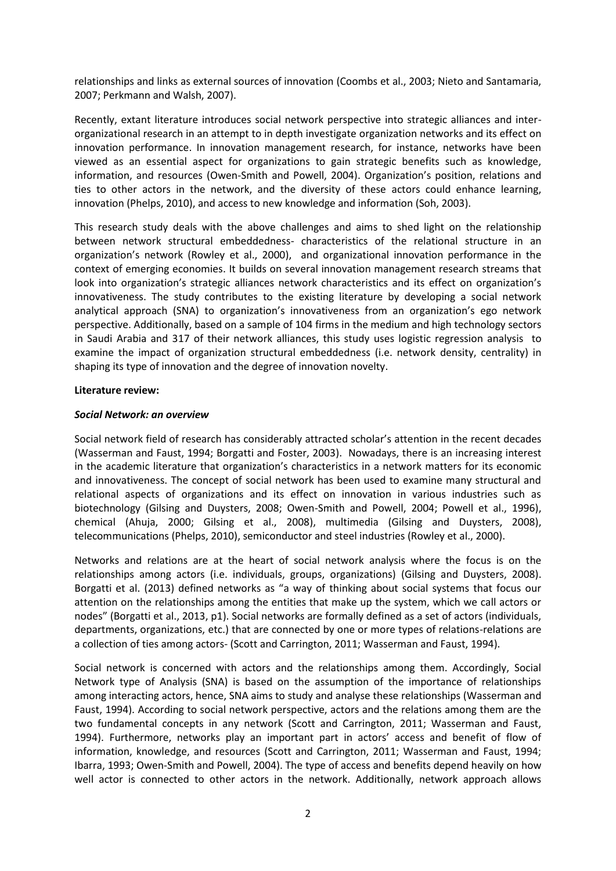relationships and links as external sources of innovation (Coombs et al., 2003; Nieto and Santamaria, 2007; Perkmann and Walsh, 2007).

Recently, extant literature introduces social network perspective into strategic alliances and interorganizational research in an attempt to in depth investigate organization networks and its effect on innovation performance. In innovation management research, for instance, networks have been viewed as an essential aspect for organizations to gain strategic benefits such as knowledge, information, and resources (Owen-Smith and Powell, 2004). Organization's position, relations and ties to other actors in the network, and the diversity of these actors could enhance learning, innovation (Phelps, 2010), and access to new knowledge and information (Soh, 2003).

This research study deals with the above challenges and aims to shed light on the relationship between network structural embeddedness- characteristics of the relational structure in an organization's network (Rowley et al., 2000), and organizational innovation performance in the context of emerging economies. It builds on several innovation management research streams that look into organization's strategic alliances network characteristics and its effect on organization's innovativeness. The study contributes to the existing literature by developing a social network analytical approach (SNA) to organization's innovativeness from an organization's ego network perspective. Additionally, based on a sample of 104 firms in the medium and high technology sectors in Saudi Arabia and 317 of their network alliances, this study uses logistic regression analysis to examine the impact of organization structural embeddedness (i.e. network density, centrality) in shaping its type of innovation and the degree of innovation novelty.

#### **Literature review:**

#### *Social Network: an overview*

Social network field of research has considerably attracted scholar's attention in the recent decades (Wasserman and Faust, 1994; Borgatti and Foster, 2003). Nowadays, there is an increasing interest in the academic literature that organization's characteristics in a network matters for its economic and innovativeness. The concept of social network has been used to examine many structural and relational aspects of organizations and its effect on innovation in various industries such as biotechnology (Gilsing and Duysters, 2008; Owen-Smith and Powell, 2004; Powell et al., 1996), chemical (Ahuja, 2000; Gilsing et al., 2008), multimedia (Gilsing and Duysters, 2008), telecommunications (Phelps, 2010), semiconductor and steel industries (Rowley et al., 2000).

Networks and relations are at the heart of social network analysis where the focus is on the relationships among actors (i.e. individuals, groups, organizations) (Gilsing and Duysters, 2008). Borgatti et al. (2013) defined networks as "a way of thinking about social systems that focus our attention on the relationships among the entities that make up the system, which we call actors or nodes" (Borgatti et al., 2013, p1). Social networks are formally defined as a set of actors (individuals, departments, organizations, etc.) that are connected by one or more types of relations-relations are a collection of ties among actors- (Scott and Carrington, 2011; Wasserman and Faust, 1994).

Social network is concerned with actors and the relationships among them. Accordingly, Social Network type of Analysis (SNA) is based on the assumption of the importance of relationships among interacting actors, hence, SNA aims to study and analyse these relationships (Wasserman and Faust, 1994). According to social network perspective, actors and the relations among them are the two fundamental concepts in any network (Scott and Carrington, 2011; Wasserman and Faust, 1994). Furthermore, networks play an important part in actors' access and benefit of flow of information, knowledge, and resources (Scott and Carrington, 2011; Wasserman and Faust, 1994; Ibarra, 1993; Owen-Smith and Powell, 2004). The type of access and benefits depend heavily on how well actor is connected to other actors in the network. Additionally, network approach allows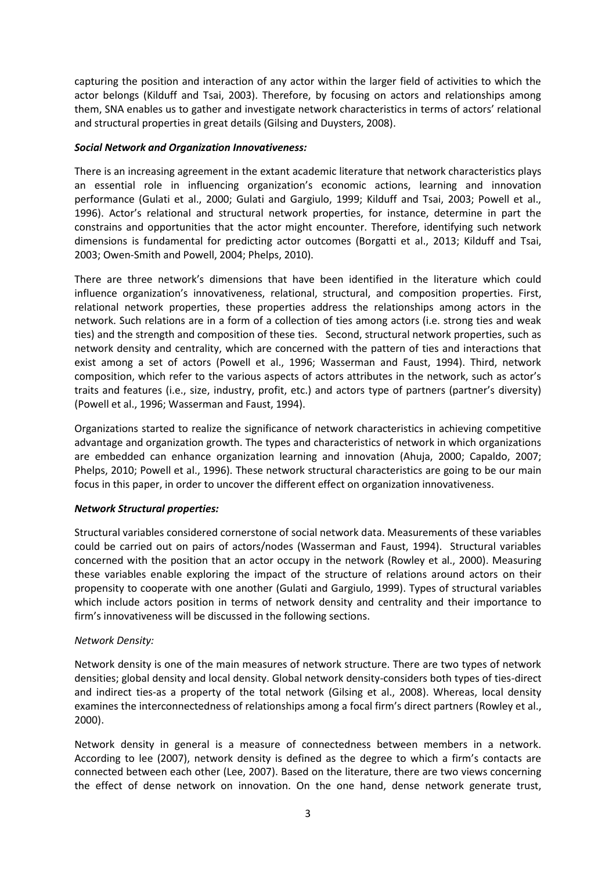capturing the position and interaction of any actor within the larger field of activities to which the actor belongs (Kilduff and Tsai, 2003). Therefore, by focusing on actors and relationships among them, SNA enables us to gather and investigate network characteristics in terms of actors' relational and structural properties in great details (Gilsing and Duysters, 2008).

#### *Social Network and Organization Innovativeness:*

There is an increasing agreement in the extant academic literature that network characteristics plays an essential role in influencing organization's economic actions, learning and innovation performance (Gulati et al., 2000; Gulati and Gargiulo, 1999; Kilduff and Tsai, 2003; Powell et al., 1996). Actor's relational and structural network properties, for instance, determine in part the constrains and opportunities that the actor might encounter. Therefore, identifying such network dimensions is fundamental for predicting actor outcomes (Borgatti et al., 2013; Kilduff and Tsai, 2003; Owen-Smith and Powell, 2004; Phelps, 2010).

There are three network's dimensions that have been identified in the literature which could influence organization's innovativeness, relational, structural, and composition properties. First, relational network properties, these properties address the relationships among actors in the network. Such relations are in a form of a collection of ties among actors (i.e. strong ties and weak ties) and the strength and composition of these ties. Second, structural network properties, such as network density and centrality, which are concerned with the pattern of ties and interactions that exist among a set of actors (Powell et al., 1996; Wasserman and Faust, 1994). Third, network composition, which refer to the various aspects of actors attributes in the network, such as actor's traits and features (i.e., size, industry, profit, etc.) and actors type of partners (partner's diversity) (Powell et al., 1996; Wasserman and Faust, 1994).

Organizations started to realize the significance of network characteristics in achieving competitive advantage and organization growth. The types and characteristics of network in which organizations are embedded can enhance organization learning and innovation (Ahuja, 2000; Capaldo, 2007; Phelps, 2010; Powell et al., 1996). These network structural characteristics are going to be our main focus in this paper, in order to uncover the different effect on organization innovativeness.

## *Network Structural properties:*

Structural variables considered cornerstone of social network data. Measurements of these variables could be carried out on pairs of actors/nodes (Wasserman and Faust, 1994). Structural variables concerned with the position that an actor occupy in the network (Rowley et al., 2000). Measuring these variables enable exploring the impact of the structure of relations around actors on their propensity to cooperate with one another (Gulati and Gargiulo, 1999). Types of structural variables which include actors position in terms of network density and centrality and their importance to firm's innovativeness will be discussed in the following sections.

## *Network Density:*

Network density is one of the main measures of network structure. There are two types of network densities; global density and local density. Global network density-considers both types of ties-direct and indirect ties-as a property of the total network (Gilsing et al., 2008). Whereas, local density examines the interconnectedness of relationships among a focal firm's direct partners (Rowley et al., 2000).

Network density in general is a measure of connectedness between members in a network. According to lee (2007), network density is defined as the degree to which a firm's contacts are connected between each other (Lee, 2007). Based on the literature, there are two views concerning the effect of dense network on innovation. On the one hand, dense network generate trust,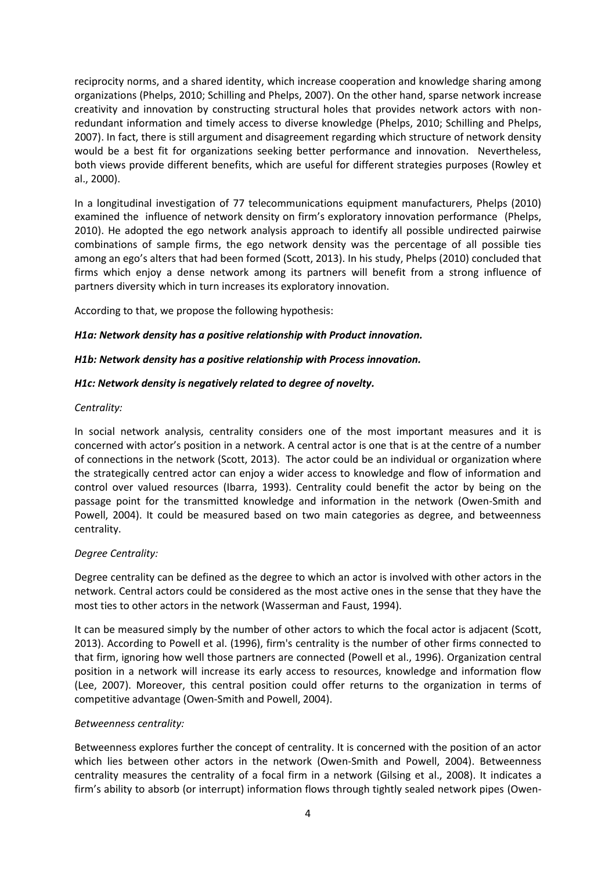reciprocity norms, and a shared identity, which increase cooperation and knowledge sharing among organizations (Phelps, 2010; Schilling and Phelps, 2007). On the other hand, sparse network increase creativity and innovation by constructing structural holes that provides network actors with nonredundant information and timely access to diverse knowledge (Phelps, 2010; Schilling and Phelps, 2007). In fact, there is still argument and disagreement regarding which structure of network density would be a best fit for organizations seeking better performance and innovation. Nevertheless, both views provide different benefits, which are useful for different strategies purposes (Rowley et al., 2000).

In a longitudinal investigation of 77 telecommunications equipment manufacturers, Phelps (2010) examined the influence of network density on firm's exploratory innovation performance (Phelps, 2010). He adopted the ego network analysis approach to identify all possible undirected pairwise combinations of sample firms, the ego network density was the percentage of all possible ties among an ego's alters that had been formed (Scott, 2013). In his study, Phelps (2010) concluded that firms which enjoy a dense network among its partners will benefit from a strong influence of partners diversity which in turn increases its exploratory innovation.

According to that, we propose the following hypothesis:

## *H1a: Network density has a positive relationship with Product innovation.*

## *H1b: Network density has a positive relationship with Process innovation.*

## *H1c: Network density is negatively related to degree of novelty.*

## *Centrality:*

In social network analysis, centrality considers one of the most important measures and it is concerned with actor's position in a network. A central actor is one that is at the centre of a number of connections in the network (Scott, 2013). The actor could be an individual or organization where the strategically centred actor can enjoy a wider access to knowledge and flow of information and control over valued resources (Ibarra, 1993). Centrality could benefit the actor by being on the passage point for the transmitted knowledge and information in the network (Owen-Smith and Powell, 2004). It could be measured based on two main categories as degree, and betweenness centrality.

# *Degree Centrality:*

Degree centrality can be defined as the degree to which an actor is involved with other actors in the network. Central actors could be considered as the most active ones in the sense that they have the most ties to other actors in the network (Wasserman and Faust, 1994).

It can be measured simply by the number of other actors to which the focal actor is adjacent (Scott, 2013). According to Powell et al. (1996), firm's centrality is the number of other firms connected to that firm, ignoring how well those partners are connected (Powell et al., 1996). Organization central position in a network will increase its early access to resources, knowledge and information flow (Lee, 2007). Moreover, this central position could offer returns to the organization in terms of competitive advantage (Owen-Smith and Powell, 2004).

## *Betweenness centrality:*

Betweenness explores further the concept of centrality. It is concerned with the position of an actor which lies between other actors in the network (Owen-Smith and Powell, 2004). Betweenness centrality measures the centrality of a focal firm in a network (Gilsing et al., 2008). It indicates a firm's ability to absorb (or interrupt) information flows through tightly sealed network pipes (Owen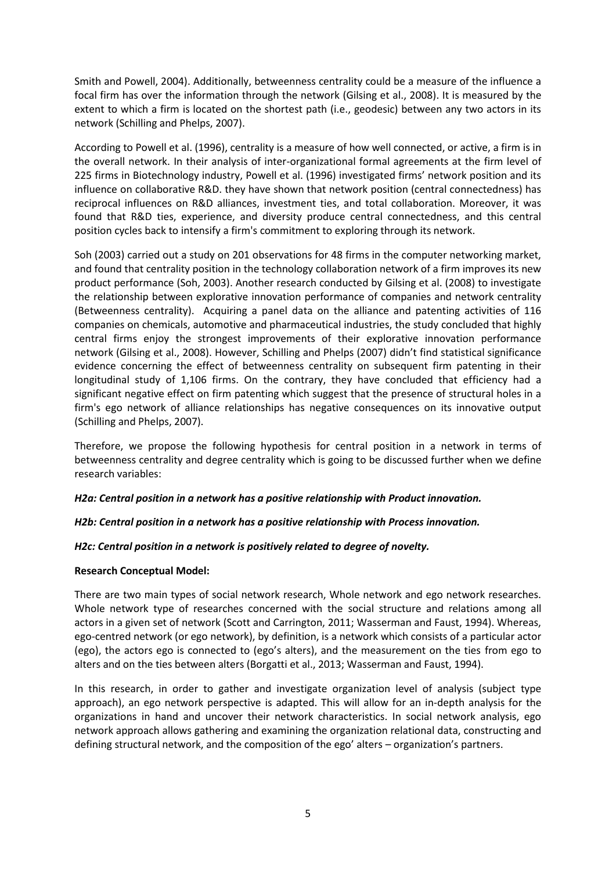Smith and Powell, 2004). Additionally, betweenness centrality could be a measure of the influence a focal firm has over the information through the network (Gilsing et al., 2008). It is measured by the extent to which a firm is located on the shortest path (i.e., geodesic) between any two actors in its network (Schilling and Phelps, 2007).

According to Powell et al. (1996), centrality is a measure of how well connected, or active, a firm is in the overall network. In their analysis of inter-organizational formal agreements at the firm level of 225 firms in Biotechnology industry, Powell et al. (1996) investigated firms' network position and its influence on collaborative R&D. they have shown that network position (central connectedness) has reciprocal influences on R&D alliances, investment ties, and total collaboration. Moreover, it was found that R&D ties, experience, and diversity produce central connectedness, and this central position cycles back to intensify a firm's commitment to exploring through its network.

Soh (2003) carried out a study on 201 observations for 48 firms in the computer networking market, and found that centrality position in the technology collaboration network of a firm improves its new product performance (Soh, 2003). Another research conducted by Gilsing et al. (2008) to investigate the relationship between explorative innovation performance of companies and network centrality (Betweenness centrality). Acquiring a panel data on the alliance and patenting activities of 116 companies on chemicals, automotive and pharmaceutical industries, the study concluded that highly central firms enjoy the strongest improvements of their explorative innovation performance network (Gilsing et al., 2008). However, Schilling and Phelps (2007) didn't find statistical significance evidence concerning the effect of betweenness centrality on subsequent firm patenting in their longitudinal study of 1,106 firms. On the contrary, they have concluded that efficiency had a significant negative effect on firm patenting which suggest that the presence of structural holes in a firm's ego network of alliance relationships has negative consequences on its innovative output (Schilling and Phelps, 2007).

Therefore, we propose the following hypothesis for central position in a network in terms of betweenness centrality and degree centrality which is going to be discussed further when we define research variables:

## *H2a: Central position in a network has a positive relationship with Product innovation.*

# *H2b: Central position in a network has a positive relationship with Process innovation.*

## *H2c: Central position in a network is positively related to degree of novelty.*

## **Research Conceptual Model:**

There are two main types of social network research, Whole network and ego network researches. Whole network type of researches concerned with the social structure and relations among all actors in a given set of network (Scott and Carrington, 2011; Wasserman and Faust, 1994). Whereas, ego-centred network (or ego network), by definition, is a network which consists of a particular actor (ego), the actors ego is connected to (ego's alters), and the measurement on the ties from ego to alters and on the ties between alters (Borgatti et al., 2013; Wasserman and Faust, 1994).

In this research, in order to gather and investigate organization level of analysis (subject type approach), an ego network perspective is adapted. This will allow for an in-depth analysis for the organizations in hand and uncover their network characteristics. In social network analysis, ego network approach allows gathering and examining the organization relational data, constructing and defining structural network, and the composition of the ego' alters – organization's partners.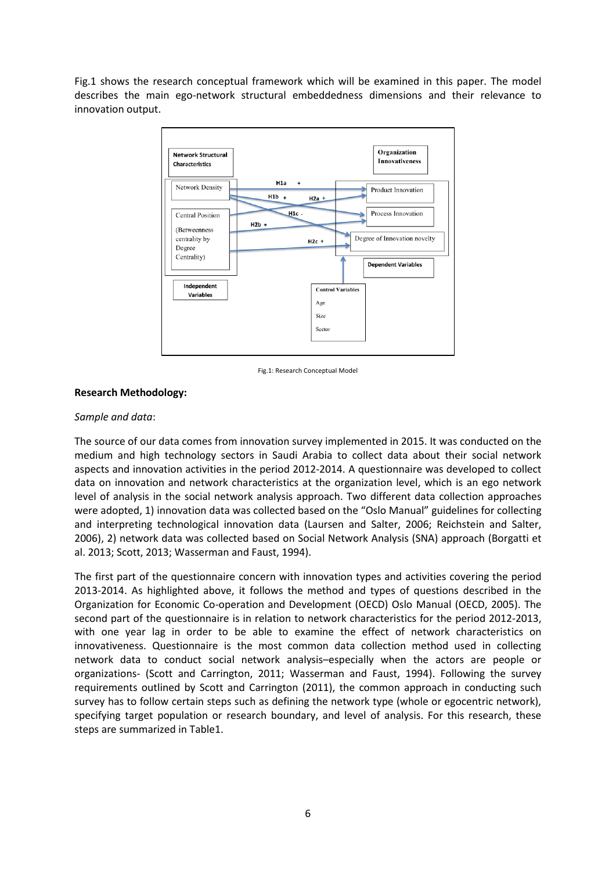Fig.1 shows the research conceptual framework which will be examined in this paper. The model describes the main ego-network structural embeddedness dimensions and their relevance to innovation output.



Fig.1: Research Conceptual Model

# **Research Methodology:**

## *Sample and data*:

The source of our data comes from innovation survey implemented in 2015. It was conducted on the medium and high technology sectors in Saudi Arabia to collect data about their social network aspects and innovation activities in the period 2012-2014. A questionnaire was developed to collect data on innovation and network characteristics at the organization level, which is an ego network level of analysis in the social network analysis approach. Two different data collection approaches were adopted, 1) innovation data was collected based on the "Oslo Manual" guidelines for collecting and interpreting technological innovation data (Laursen and Salter, 2006; Reichstein and Salter, 2006), 2) network data was collected based on Social Network Analysis (SNA) approach (Borgatti et al. 2013; Scott, 2013; Wasserman and Faust, 1994).

The first part of the questionnaire concern with innovation types and activities covering the period 2013-2014. As highlighted above, it follows the method and types of questions described in the Organization for Economic Co-operation and Development (OECD) Oslo Manual (OECD, 2005). The second part of the questionnaire is in relation to network characteristics for the period 2012-2013, with one year lag in order to be able to examine the effect of network characteristics on innovativeness. Questionnaire is the most common data collection method used in collecting network data to conduct social network analysis–especially when the actors are people or organizations- (Scott and Carrington, 2011; Wasserman and Faust, 1994). Following the survey requirements outlined by Scott and Carrington (2011), the common approach in conducting such survey has to follow certain steps such as defining the network type (whole or egocentric network), specifying target population or research boundary, and level of analysis. For this research, these steps are summarized in Table1.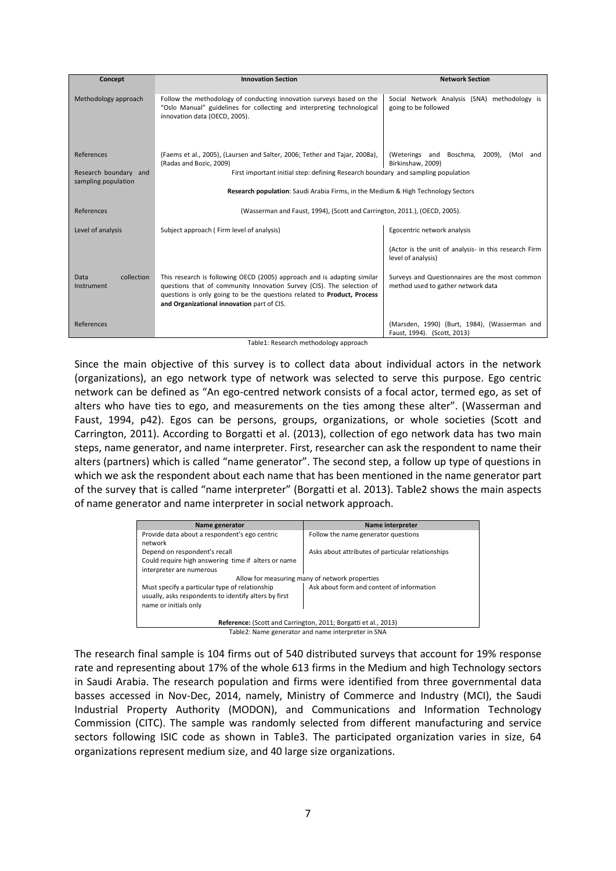| Concept                                                    | <b>Innovation Section</b>                                                                                                                                                                                                                                                                                                                        | <b>Network Section</b>                                                               |  |  |  |  |
|------------------------------------------------------------|--------------------------------------------------------------------------------------------------------------------------------------------------------------------------------------------------------------------------------------------------------------------------------------------------------------------------------------------------|--------------------------------------------------------------------------------------|--|--|--|--|
| Methodology approach                                       | Follow the methodology of conducting innovation surveys based on the<br>"Oslo Manual" guidelines for collecting and interpreting technological<br>innovation data (OECD, 2005).                                                                                                                                                                  | Social Network Analysis (SNA) methodology is<br>going to be followed                 |  |  |  |  |
| References<br>Research boundary and<br>sampling population | (Faems et al., 2005), (Laursen and Salter, 2006; Tether and Tajar, 2008a),<br>(Weterings and Boschma,<br>2009), (Mol and<br>(Radas and Bozic, 2009)<br>Birkinshaw, 2009)<br>First important initial step: defining Research boundary and sampling population<br>Research population: Saudi Arabia Firms, in the Medium & High Technology Sectors |                                                                                      |  |  |  |  |
|                                                            |                                                                                                                                                                                                                                                                                                                                                  |                                                                                      |  |  |  |  |
| References                                                 | (Wasserman and Faust, 1994), (Scott and Carrington, 2011.), (OECD, 2005).                                                                                                                                                                                                                                                                        |                                                                                      |  |  |  |  |
| Level of analysis                                          | Subject approach (Firm level of analysis)                                                                                                                                                                                                                                                                                                        | Egocentric network analysis                                                          |  |  |  |  |
|                                                            |                                                                                                                                                                                                                                                                                                                                                  | (Actor is the unit of analysis- in this research Firm<br>level of analysis)          |  |  |  |  |
| collection<br>Data<br>Instrument                           | This research is following OECD (2005) approach and is adapting similar<br>questions that of community Innovation Survey (CIS). The selection of<br>questions is only going to be the questions related to <b>Product</b> , Process<br>and Organizational innovation part of CIS.                                                                | Surveys and Questionnaires are the most common<br>method used to gather network data |  |  |  |  |
| References                                                 |                                                                                                                                                                                                                                                                                                                                                  | (Marsden, 1990) (Burt, 1984), (Wasserman and<br>Faust, 1994). (Scott, 2013)          |  |  |  |  |

Table1: Research methodology approach

Since the main objective of this survey is to collect data about individual actors in the network (organizations), an ego network type of network was selected to serve this purpose. Ego centric network can be defined as "An ego-centred network consists of a focal actor, termed ego, as set of alters who have ties to ego, and measurements on the ties among these alter". (Wasserman and Faust, 1994, p42). Egos can be persons, groups, organizations, or whole societies (Scott and Carrington, 2011). According to Borgatti et al. (2013), collection of ego network data has two main steps, name generator, and name interpreter. First, researcher can ask the respondent to name their alters (partners) which is called "name generator". The second step, a follow up type of questions in which we ask the respondent about each name that has been mentioned in the name generator part of the survey that is called "name interpreter" (Borgatti et al. 2013). Table2 shows the main aspects of name generator and name interpreter in social network approach.

| Name generator                                                 | Name interpreter                                  |  |  |  |  |
|----------------------------------------------------------------|---------------------------------------------------|--|--|--|--|
| Provide data about a respondent's ego centric<br>network       | Follow the name generator questions               |  |  |  |  |
| Depend on respondent's recall                                  | Asks about attributes of particular relationships |  |  |  |  |
| Could require high answering time if alters or name            |                                                   |  |  |  |  |
| interpreter are numerous                                       |                                                   |  |  |  |  |
| Allow for measuring many of network properties                 |                                                   |  |  |  |  |
| Must specify a particular type of relationship                 | Ask about form and content of information         |  |  |  |  |
| usually, asks respondents to identify alters by first          |                                                   |  |  |  |  |
| name or initials only                                          |                                                   |  |  |  |  |
| Reference: (Scott and Carrington, 2011; Borgatti et al., 2013) |                                                   |  |  |  |  |

Table2: Name generator and name interpreter in SNA

The research final sample is 104 firms out of 540 distributed surveys that account for 19% response rate and representing about 17% of the whole 613 firms in the Medium and high Technology sectors in Saudi Arabia. The research population and firms were identified from three governmental data basses accessed in Nov-Dec, 2014, namely, Ministry of Commerce and Industry (MCI), the Saudi Industrial Property Authority (MODON), and Communications and Information Technology Commission (CITC). The sample was randomly selected from different manufacturing and service sectors following ISIC code as shown in Table3. The participated organization varies in size, 64 organizations represent medium size, and 40 large size organizations.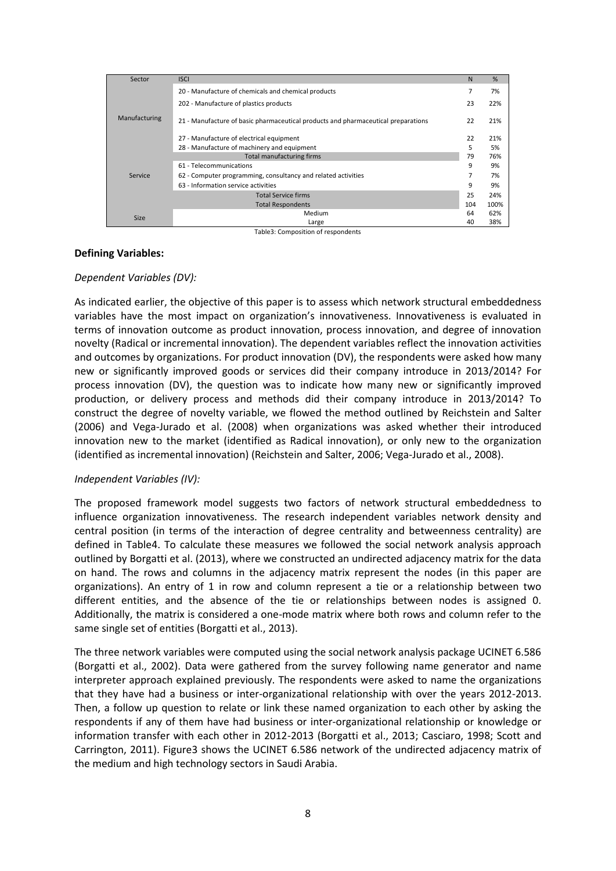| Sector        | <b>ISCI</b>                                                                       | N   | %    |  |  |  |
|---------------|-----------------------------------------------------------------------------------|-----|------|--|--|--|
|               | 20 - Manufacture of chemicals and chemical products                               |     |      |  |  |  |
|               | 202 - Manufacture of plastics products                                            |     |      |  |  |  |
| Manufacturing | 21 - Manufacture of basic pharmaceutical products and pharmaceutical preparations |     |      |  |  |  |
|               | 27 - Manufacture of electrical equipment                                          |     |      |  |  |  |
|               | 28 - Manufacture of machinery and equipment                                       |     |      |  |  |  |
|               | Total manufacturing firms                                                         | 79  | 76%  |  |  |  |
| Service       | 61 - Telecommunications                                                           |     |      |  |  |  |
|               | 62 - Computer programming, consultancy and related activities                     | 7   | 7%   |  |  |  |
|               | 63 - Information service activities                                               |     |      |  |  |  |
|               | <b>Total Service firms</b>                                                        |     |      |  |  |  |
|               | <b>Total Respondents</b>                                                          | 104 | 100% |  |  |  |
| <b>Size</b>   | Medium                                                                            | 64  | 62%  |  |  |  |
|               | Large                                                                             | 40  | 38%  |  |  |  |

Table3: Composition of respondents

#### **Defining Variables:**

## *Dependent Variables (DV):*

As indicated earlier, the objective of this paper is to assess which network structural embeddedness variables have the most impact on organization's innovativeness. Innovativeness is evaluated in terms of innovation outcome as product innovation, process innovation, and degree of innovation novelty (Radical or incremental innovation). The dependent variables reflect the innovation activities and outcomes by organizations. For product innovation (DV), the respondents were asked how many new or significantly improved goods or services did their company introduce in 2013/2014? For process innovation (DV), the question was to indicate how many new or significantly improved production, or delivery process and methods did their company introduce in 2013/2014? To construct the degree of novelty variable, we flowed the method outlined by Reichstein and Salter (2006) and Vega-Jurado et al. (2008) when organizations was asked whether their introduced innovation new to the market (identified as Radical innovation), or only new to the organization (identified as incremental innovation) (Reichstein and Salter, 2006; Vega-Jurado et al., 2008).

## *Independent Variables (IV):*

The proposed framework model suggests two factors of network structural embeddedness to influence organization innovativeness. The research independent variables network density and central position (in terms of the interaction of degree centrality and betweenness centrality) are defined in Table4. To calculate these measures we followed the social network analysis approach outlined by Borgatti et al. (2013), where we constructed an undirected adjacency matrix for the data on hand. The rows and columns in the adjacency matrix represent the nodes (in this paper are organizations). An entry of 1 in row and column represent a tie or a relationship between two different entities, and the absence of the tie or relationships between nodes is assigned 0. Additionally, the matrix is considered a one-mode matrix where both rows and column refer to the same single set of entities (Borgatti et al., 2013).

The three network variables were computed using the social network analysis package UCINET 6.586 (Borgatti et al., 2002). Data were gathered from the survey following name generator and name interpreter approach explained previously. The respondents were asked to name the organizations that they have had a business or inter-organizational relationship with over the years 2012-2013. Then, a follow up question to relate or link these named organization to each other by asking the respondents if any of them have had business or inter-organizational relationship or knowledge or information transfer with each other in 2012-2013 (Borgatti et al., 2013; Casciaro, 1998; Scott and Carrington, 2011). Figure3 shows the UCINET 6.586 network of the undirected adjacency matrix of the medium and high technology sectors in Saudi Arabia.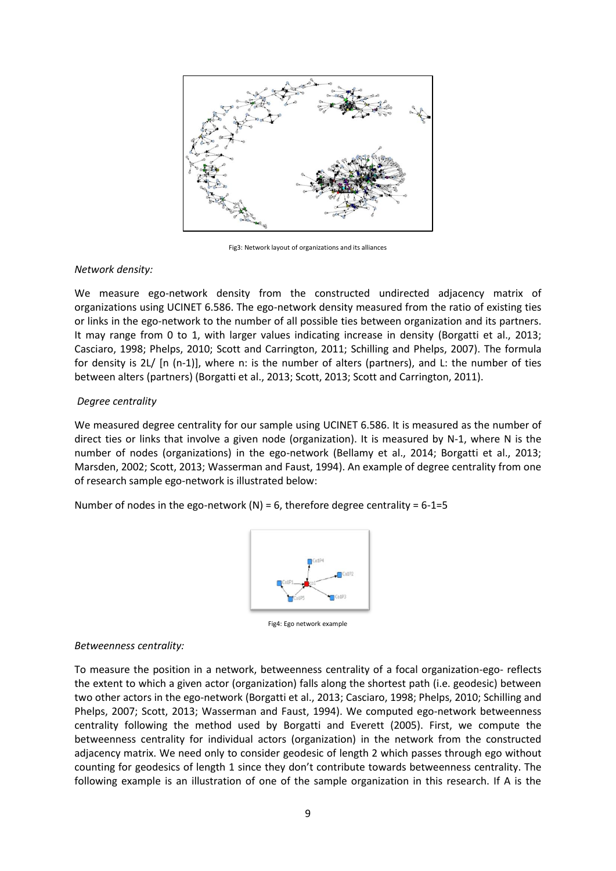

Fig3: Network layout of organizations and its alliances

## *Network density:*

We measure ego-network density from the constructed undirected adjacency matrix of organizations using UCINET 6.586. The ego-network density measured from the ratio of existing ties or links in the ego-network to the number of all possible ties between organization and its partners. It may range from 0 to 1, with larger values indicating increase in density (Borgatti et al., 2013; Casciaro, 1998; Phelps, 2010; Scott and Carrington, 2011; Schilling and Phelps, 2007). The formula for density is 2L/ [n (n-1)], where n: is the number of alters (partners), and L: the number of ties between alters (partners) (Borgatti et al., 2013; Scott, 2013; Scott and Carrington, 2011).

# *Degree centrality*

We measured degree centrality for our sample using UCINET 6.586. It is measured as the number of direct ties or links that involve a given node (organization). It is measured by N-1, where N is the number of nodes (organizations) in the ego-network (Bellamy et al., 2014; Borgatti et al., 2013; Marsden, 2002; Scott, 2013; Wasserman and Faust, 1994). An example of degree centrality from one of research sample ego-network is illustrated below:

Number of nodes in the ego-network (N) = 6, therefore degree centrality =  $6-1=5$ 



Fig4: Ego network example

## *Betweenness centrality:*

To measure the position in a network, betweenness centrality of a focal organization-ego- reflects the extent to which a given actor (organization) falls along the shortest path (i.e. geodesic) between two other actors in the ego-network (Borgatti et al., 2013; Casciaro, 1998; Phelps, 2010; Schilling and Phelps, 2007; Scott, 2013; Wasserman and Faust, 1994). We computed ego-network betweenness centrality following the method used by Borgatti and Everett (2005). First, we compute the betweenness centrality for individual actors (organization) in the network from the constructed adjacency matrix. We need only to consider geodesic of length 2 which passes through ego without counting for geodesics of length 1 since they don't contribute towards betweenness centrality. The following example is an illustration of one of the sample organization in this research. If A is the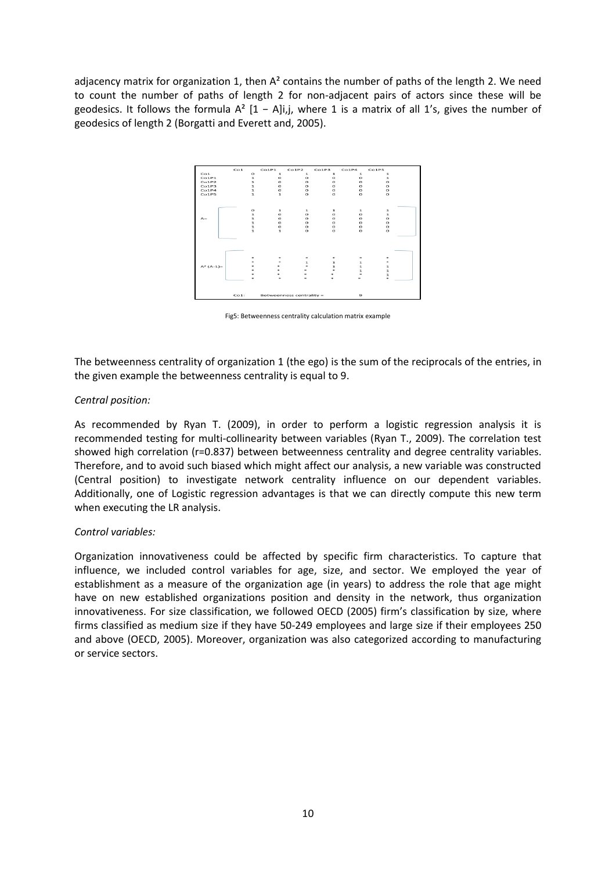adjacency matrix for organization 1, then  $A<sup>2</sup>$  contains the number of paths of the length 2. We need to count the number of paths of length 2 for non-adjacent pairs of actors since these will be geodesics. It follows the formula  $A^2$  [1 – A|i,j, where 1 is a matrix of all 1's, gives the number of geodesics of length 2 (Borgatti and Everett and, 2005).



Fig5: Betweenness centrality calculation matrix example

The betweenness centrality of organization 1 (the ego) is the sum of the reciprocals of the entries, in the given example the betweenness centrality is equal to 9.

#### *Central position:*

As recommended by Ryan T. (2009), in order to perform a logistic regression analysis it is recommended testing for multi-collinearity between variables (Ryan T., 2009). The correlation test showed high correlation (r=0.837) between betweenness centrality and degree centrality variables. Therefore, and to avoid such biased which might affect our analysis, a new variable was constructed (Central position) to investigate network centrality influence on our dependent variables. Additionally, one of Logistic regression advantages is that we can directly compute this new term when executing the LR analysis.

## *Control variables:*

Organization innovativeness could be affected by specific firm characteristics. To capture that influence, we included control variables for age, size, and sector. We employed the year of establishment as a measure of the organization age (in years) to address the role that age might have on new established organizations position and density in the network, thus organization innovativeness. For size classification, we followed OECD (2005) firm's classification by size, where firms classified as medium size if they have 50-249 employees and large size if their employees 250 and above (OECD, 2005). Moreover, organization was also categorized according to manufacturing or service sectors.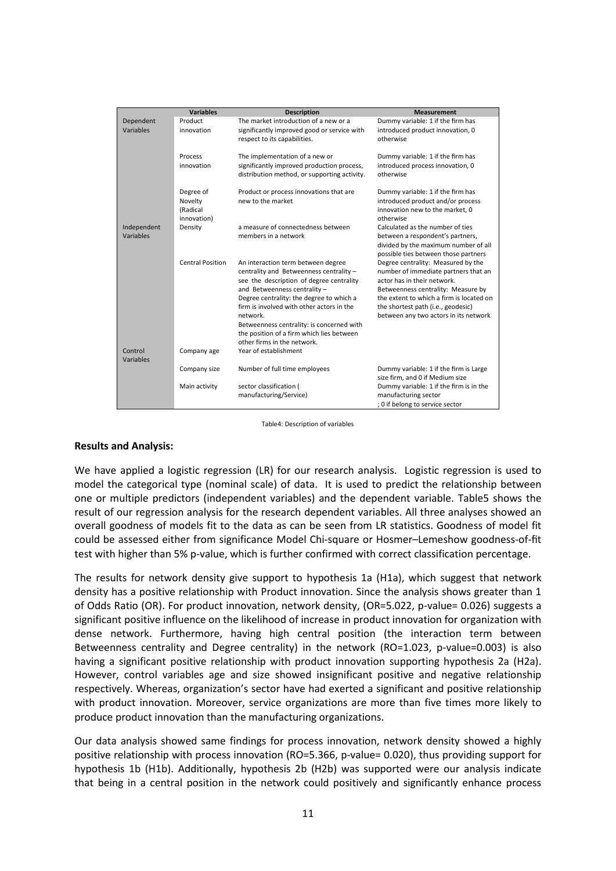|             | <b>Variables</b>        | <b>Description</b>                           | <b>Measurement</b>                       |  |  |  |
|-------------|-------------------------|----------------------------------------------|------------------------------------------|--|--|--|
| Dependent   | Product                 | The market introduction of a new or a        | Dummy variable: 1 if the firm has        |  |  |  |
| Variables   | innovation              | significantly improved good or service with  | introduced product innovation, 0         |  |  |  |
|             |                         | respect to its capabilities.                 | otherwise                                |  |  |  |
|             |                         |                                              |                                          |  |  |  |
|             | Process                 | The implementation of a new or               | Dummy variable: 1 if the firm has        |  |  |  |
|             | innovation              | significantly improved production process,   | introduced process innovation, 0         |  |  |  |
|             |                         | distribution method, or supporting activity. | otherwise                                |  |  |  |
|             |                         |                                              |                                          |  |  |  |
|             | Degree of               | Product or process innovations that are      | Dummy variable: 1 if the firm has        |  |  |  |
|             | Novelty                 | new to the market                            | introduced product and/or process        |  |  |  |
|             | (Radical                |                                              | innovation new to the market, 0          |  |  |  |
|             | innovation)             |                                              | otherwise                                |  |  |  |
| Independent | Density                 | a measure of connectedness between           | Calculated as the number of ties         |  |  |  |
| Variables   |                         | members in a network                         | between a respondent's partners,         |  |  |  |
|             |                         |                                              | divided by the maximum number of all     |  |  |  |
|             |                         |                                              | possible ties between those partners     |  |  |  |
|             | <b>Central Position</b> | An interaction term between degree           | Degree centrality: Measured by the       |  |  |  |
|             |                         | centrality and Betweenness centrality -      | number of immediate partners that an     |  |  |  |
|             |                         | see the description of degree centrality     | actor has in their network.              |  |  |  |
|             |                         | and Betweenness centrality -                 | Betweenness centrality: Measure by       |  |  |  |
|             |                         | Degree centrality: the degree to which a     | the extent to which a firm is located on |  |  |  |
|             |                         | firm is involved with other actors in the    | the shortest path (i.e., geodesic)       |  |  |  |
|             |                         | network.                                     | between any two actors in its network    |  |  |  |
|             |                         | Betweenness centrality: is concerned with    |                                          |  |  |  |
|             |                         | the position of a firm which lies between    |                                          |  |  |  |
|             |                         | other firms in the network.                  |                                          |  |  |  |
| Control     | Company age             | Year of establishment                        |                                          |  |  |  |
| Variables   |                         |                                              |                                          |  |  |  |
|             | Company size            | Number of full time employees                | Dummy variable: 1 if the firm is Large   |  |  |  |
|             |                         |                                              | size firm, and 0 if Medium size          |  |  |  |
|             | Main activity           | sector classification (                      | Dummy variable: 1 if the firm is in the  |  |  |  |
|             |                         | manufacturing/Service)                       | manufacturing sector                     |  |  |  |
|             |                         |                                              | ; 0 if belong to service sector          |  |  |  |

#### Table4: Description of variables

#### **Results and Analysis:**

We have applied a logistic regression (LR) for our research analysis. Logistic regression is used to model the categorical type (nominal scale) of data. It is used to predict the relationship between one or multiple predictors (independent variables) and the dependent variable. Table5 shows the result of our regression analysis for the research dependent variables. All three analyses showed an overall goodness of models fit to the data as can be seen from LR statistics. Goodness of model fit could be assessed either from significance Model Chi-square or Hosmer–Lemeshow goodness-of-fit test with higher than 5% p-value, which is further confirmed with correct classification percentage.

The results for network density give support to hypothesis 1a (H1a), which suggest that network density has a positive relationship with Product innovation. Since the analysis shows greater than 1 of Odds Ratio (OR). For product innovation, network density, (OR=5.022, p-value= 0.026) suggests a significant positive influence on the likelihood of increase in product innovation for organization with dense network. Furthermore, having high central position (the interaction term between Betweenness centrality and Degree centrality) in the network (RO=1.023, p-value=0.003) is also having a significant positive relationship with product innovation supporting hypothesis 2a (H2a). However, control variables age and size showed insignificant positive and negative relationship respectively. Whereas, organization's sector have had exerted a significant and positive relationship with product innovation. Moreover, service organizations are more than five times more likely to produce product innovation than the manufacturing organizations.

Our data analysis showed same findings for process innovation, network density showed a highly positive relationship with process innovation (RO=5.366, p-value= 0.020), thus providing support for hypothesis 1b (H1b). Additionally, hypothesis 2b (H2b) was supported were our analysis indicate that being in a central position in the network could positively and significantly enhance process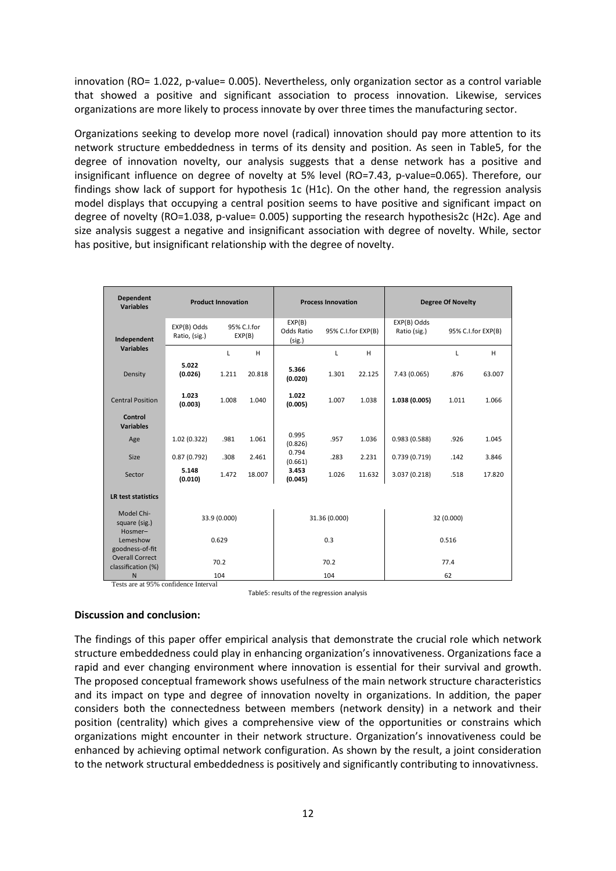innovation (RO= 1.022, p-value= 0.005). Nevertheless, only organization sector as a control variable that showed a positive and significant association to process innovation. Likewise, services organizations are more likely to process innovate by over three times the manufacturing sector.

Organizations seeking to develop more novel (radical) innovation should pay more attention to its network structure embeddedness in terms of its density and position. As seen in Table5, for the degree of innovation novelty, our analysis suggests that a dense network has a positive and insignificant influence on degree of novelty at 5% level (RO=7.43, p-value=0.065). Therefore, our findings show lack of support for hypothesis 1c (H1c). On the other hand, the regression analysis model displays that occupying a central position seems to have positive and significant impact on degree of novelty (RO=1.038, p-value= 0.005) supporting the research hypothesis2c (H2c). Age and size analysis suggest a negative and insignificant association with degree of novelty. While, sector has positive, but insignificant relationship with the degree of novelty.

| <b>Dependent</b><br><b>Variables</b>      | <b>Product Innovation</b>    |                       |               | <b>Process Innovation</b>      |                    | <b>Degree Of Novelty</b> |                                                   |       |        |
|-------------------------------------------|------------------------------|-----------------------|---------------|--------------------------------|--------------------|--------------------------|---------------------------------------------------|-------|--------|
| Independent                               | EXP(B) Odds<br>Ratio, (sig.) | 95% C.I.for<br>EXP(B) |               | EXP(B)<br>Odds Ratio<br>(sig.) | 95% C.I.for EXP(B) |                          | EXP(B) Odds<br>Ratio (sig.)<br>95% C.I.for EXP(B) |       |        |
| <b>Variables</b>                          |                              | L                     | H             |                                | L                  | H                        |                                                   | L     | H      |
| Density                                   | 5.022<br>(0.026)             | 1.211                 | 20.818        | 5.366<br>(0.020)               | 1.301              | 22.125                   | 7.43 (0.065)                                      | .876  | 63.007 |
| <b>Central Position</b>                   | 1.023<br>(0.003)             | 1.008                 | 1.040         | 1.022<br>(0.005)               | 1.007              | 1.038                    | 1.038 (0.005)                                     | 1.011 | 1.066  |
| Control<br><b>Variables</b>               |                              |                       |               |                                |                    |                          |                                                   |       |        |
| Age                                       | 1.02(0.322)                  | .981                  | 1.061         | 0.995<br>(0.826)               | .957               | 1.036                    | 0.983(0.588)                                      | .926  | 1.045  |
| Size                                      | 0.87(0.792)                  | .308                  | 2.461         | 0.794<br>(0.661)               | .283               | 2.231                    | 0.739(0.719)                                      | .142  | 3.846  |
| Sector                                    | 5.148<br>(0.010)             | 1.472                 | 18.007        | 3.453<br>(0.045)               | 1.026              | 11.632                   | 3.037 (0.218)                                     | .518  | 17.820 |
| <b>LR test statistics</b>                 |                              |                       |               |                                |                    |                          |                                                   |       |        |
| Model Chi-<br>square (sig.)<br>Hosmer-    | 33.9 (0.000)                 |                       | 31.36 (0.000) |                                | 32 (0.000)         |                          |                                                   |       |        |
| Lemeshow                                  | 0.629                        |                       |               | 0.3                            |                    | 0.516                    |                                                   |       |        |
| goodness-of-fit<br><b>Overall Correct</b> |                              |                       |               |                                |                    |                          |                                                   |       |        |
| classification (%)                        | 70.2                         |                       |               | 70.2                           |                    | 77.4                     |                                                   |       |        |
| N                                         | 104                          |                       |               | 104                            |                    | 62                       |                                                   |       |        |

Tests are at 95% confidence Interval

Table5: results of the regression analysis

#### **Discussion and conclusion:**

The findings of this paper offer empirical analysis that demonstrate the crucial role which network structure embeddedness could play in enhancing organization's innovativeness. Organizations face a rapid and ever changing environment where innovation is essential for their survival and growth. The proposed conceptual framework shows usefulness of the main network structure characteristics and its impact on type and degree of innovation novelty in organizations. In addition, the paper considers both the connectedness between members (network density) in a network and their position (centrality) which gives a comprehensive view of the opportunities or constrains which organizations might encounter in their network structure. Organization's innovativeness could be enhanced by achieving optimal network configuration. As shown by the result, a joint consideration to the network structural embeddedness is positively and significantly contributing to innovativness.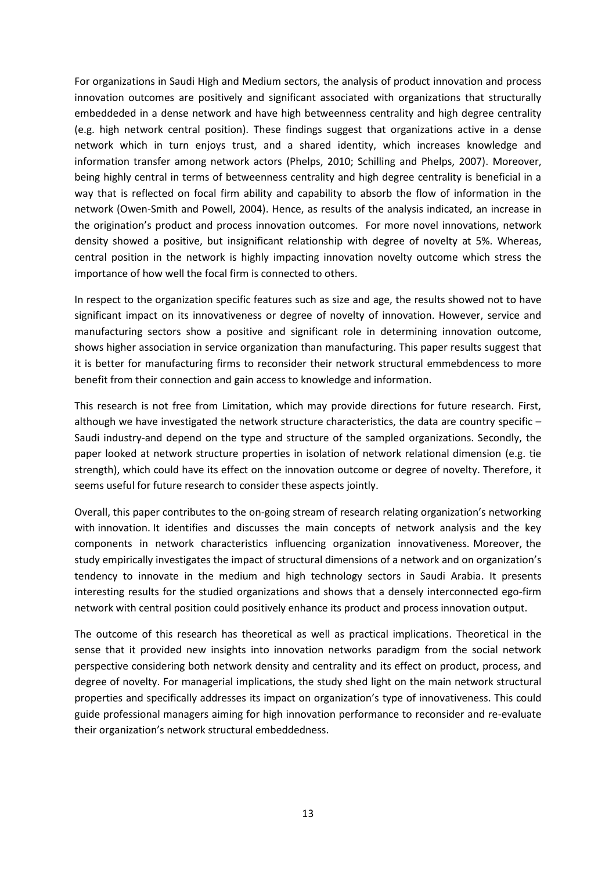For organizations in Saudi High and Medium sectors, the analysis of product innovation and process innovation outcomes are positively and significant associated with organizations that structurally embeddeded in a dense network and have high betweenness centrality and high degree centrality (e.g. high network central position). These findings suggest that organizations active in a dense network which in turn enjoys trust, and a shared identity, which increases knowledge and information transfer among network actors (Phelps, 2010; Schilling and Phelps, 2007). Moreover, being highly central in terms of betweenness centrality and high degree centrality is beneficial in a way that is reflected on focal firm ability and capability to absorb the flow of information in the network (Owen-Smith and Powell, 2004). Hence, as results of the analysis indicated, an increase in the origination's product and process innovation outcomes. For more novel innovations, network density showed a positive, but insignificant relationship with degree of novelty at 5%. Whereas, central position in the network is highly impacting innovation novelty outcome which stress the importance of how well the focal firm is connected to others.

In respect to the organization specific features such as size and age, the results showed not to have significant impact on its innovativeness or degree of novelty of innovation. However, service and manufacturing sectors show a positive and significant role in determining innovation outcome, shows higher association in service organization than manufacturing. This paper results suggest that it is better for manufacturing firms to reconsider their network structural emmebdencess to more benefit from their connection and gain access to knowledge and information.

This research is not free from Limitation, which may provide directions for future research. First, although we have investigated the network structure characteristics, the data are country specific -Saudi industry-and depend on the type and structure of the sampled organizations. Secondly, the paper looked at network structure properties in isolation of network relational dimension (e.g. tie strength), which could have its effect on the innovation outcome or degree of novelty. Therefore, it seems useful for future research to consider these aspects jointly.

Overall, this paper contributes to the on-going stream of research relating organization's networking with innovation. It identifies and discusses the main concepts of network analysis and the key components in network characteristics influencing organization innovativeness. Moreover, the study empirically investigates the impact of structural dimensions of a network and on organization's tendency to innovate in the medium and high technology sectors in Saudi Arabia. It presents interesting results for the studied organizations and shows that a densely interconnected ego-firm network with central position could positively enhance its product and process innovation output.

The outcome of this research has theoretical as well as practical implications. Theoretical in the sense that it provided new insights into innovation networks paradigm from the social network perspective considering both network density and centrality and its effect on product, process, and degree of novelty. For managerial implications, the study shed light on the main network structural properties and specifically addresses its impact on organization's type of innovativeness. This could guide professional managers aiming for high innovation performance to reconsider and re-evaluate their organization's network structural embeddedness.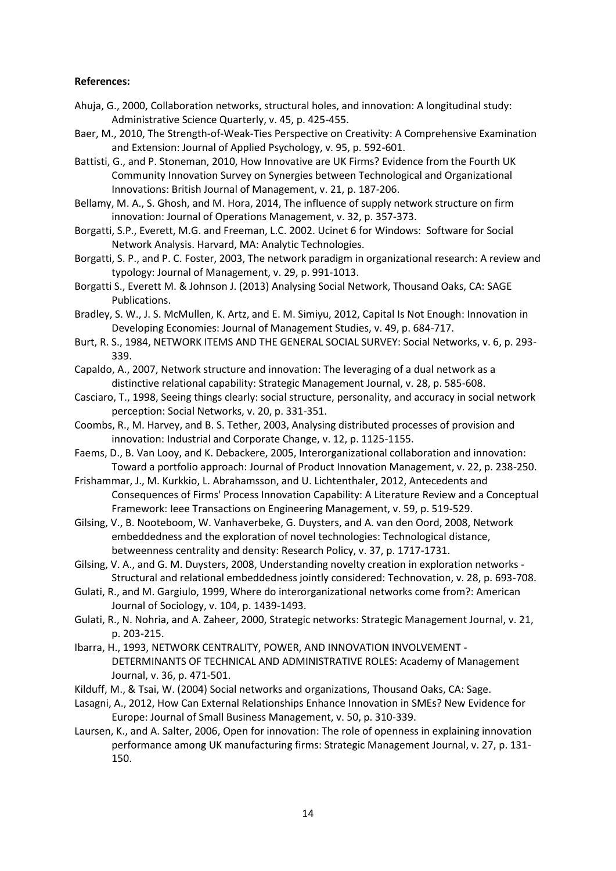## **References:**

- Ahuja, G., 2000, Collaboration networks, structural holes, and innovation: A longitudinal study: Administrative Science Quarterly, v. 45, p. 425-455.
- Baer, M., 2010, The Strength-of-Weak-Ties Perspective on Creativity: A Comprehensive Examination and Extension: Journal of Applied Psychology, v. 95, p. 592-601.
- Battisti, G., and P. Stoneman, 2010, How Innovative are UK Firms? Evidence from the Fourth UK Community Innovation Survey on Synergies between Technological and Organizational Innovations: British Journal of Management, v. 21, p. 187-206.
- Bellamy, M. A., S. Ghosh, and M. Hora, 2014, The influence of supply network structure on firm innovation: Journal of Operations Management, v. 32, p. 357-373.
- Borgatti, S.P., Everett, M.G. and Freeman, L.C. 2002. Ucinet 6 for Windows: Software for Social Network Analysis. Harvard, MA: Analytic Technologies.
- Borgatti, S. P., and P. C. Foster, 2003, The network paradigm in organizational research: A review and typology: Journal of Management, v. 29, p. 991-1013.
- Borgatti S., Everett M. & Johnson J. (2013) Analysing Social Network, Thousand Oaks, CA: SAGE Publications.
- Bradley, S. W., J. S. McMullen, K. Artz, and E. M. Simiyu, 2012, Capital Is Not Enough: Innovation in Developing Economies: Journal of Management Studies, v. 49, p. 684-717.
- Burt, R. S., 1984, NETWORK ITEMS AND THE GENERAL SOCIAL SURVEY: Social Networks, v. 6, p. 293- 339.
- Capaldo, A., 2007, Network structure and innovation: The leveraging of a dual network as a distinctive relational capability: Strategic Management Journal, v. 28, p. 585-608.
- Casciaro, T., 1998, Seeing things clearly: social structure, personality, and accuracy in social network perception: Social Networks, v. 20, p. 331-351.
- Coombs, R., M. Harvey, and B. S. Tether, 2003, Analysing distributed processes of provision and innovation: Industrial and Corporate Change, v. 12, p. 1125-1155.
- Faems, D., B. Van Looy, and K. Debackere, 2005, Interorganizational collaboration and innovation: Toward a portfolio approach: Journal of Product Innovation Management, v. 22, p. 238-250.
- Frishammar, J., M. Kurkkio, L. Abrahamsson, and U. Lichtenthaler, 2012, Antecedents and Consequences of Firms' Process Innovation Capability: A Literature Review and a Conceptual Framework: Ieee Transactions on Engineering Management, v. 59, p. 519-529.
- Gilsing, V., B. Nooteboom, W. Vanhaverbeke, G. Duysters, and A. van den Oord, 2008, Network embeddedness and the exploration of novel technologies: Technological distance, betweenness centrality and density: Research Policy, v. 37, p. 1717-1731.
- Gilsing, V. A., and G. M. Duysters, 2008, Understanding novelty creation in exploration networks Structural and relational embeddedness jointly considered: Technovation, v. 28, p. 693-708.
- Gulati, R., and M. Gargiulo, 1999, Where do interorganizational networks come from?: American Journal of Sociology, v. 104, p. 1439-1493.
- Gulati, R., N. Nohria, and A. Zaheer, 2000, Strategic networks: Strategic Management Journal, v. 21, p. 203-215.
- Ibarra, H., 1993, NETWORK CENTRALITY, POWER, AND INNOVATION INVOLVEMENT DETERMINANTS OF TECHNICAL AND ADMINISTRATIVE ROLES: Academy of Management Journal, v. 36, p. 471-501.
- Kilduff, M., & Tsai, W. (2004) Social networks and organizations, Thousand Oaks, CA: Sage.
- Lasagni, A., 2012, How Can External Relationships Enhance Innovation in SMEs? New Evidence for Europe: Journal of Small Business Management, v. 50, p. 310-339.
- Laursen, K., and A. Salter, 2006, Open for innovation: The role of openness in explaining innovation performance among UK manufacturing firms: Strategic Management Journal, v. 27, p. 131- 150.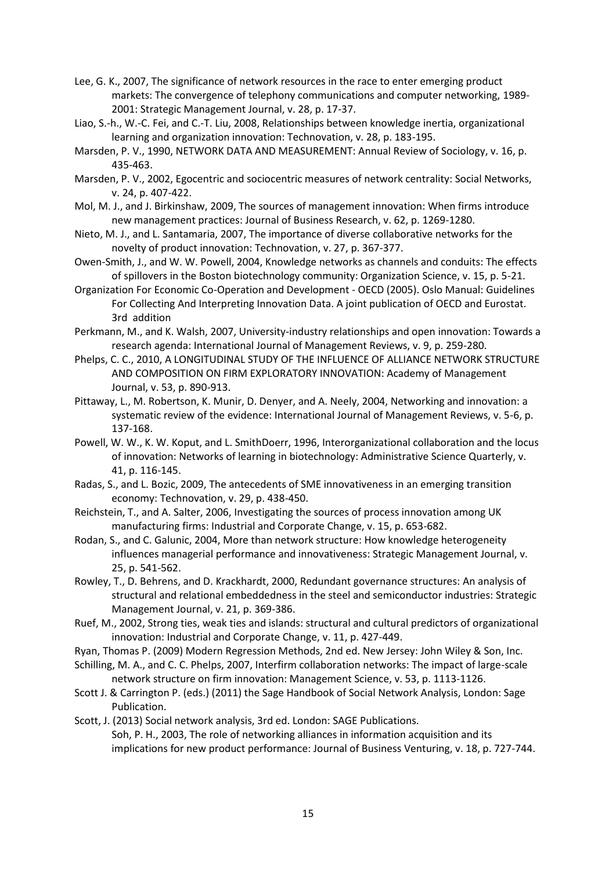- Lee, G. K., 2007, The significance of network resources in the race to enter emerging product markets: The convergence of telephony communications and computer networking, 1989- 2001: Strategic Management Journal, v. 28, p. 17-37.
- Liao, S.-h., W.-C. Fei, and C.-T. Liu, 2008, Relationships between knowledge inertia, organizational learning and organization innovation: Technovation, v. 28, p. 183-195.
- Marsden, P. V., 1990, NETWORK DATA AND MEASUREMENT: Annual Review of Sociology, v. 16, p. 435-463.
- Marsden, P. V., 2002, Egocentric and sociocentric measures of network centrality: Social Networks, v. 24, p. 407-422.
- Mol, M. J., and J. Birkinshaw, 2009, The sources of management innovation: When firms introduce new management practices: Journal of Business Research, v. 62, p. 1269-1280.
- Nieto, M. J., and L. Santamaria, 2007, The importance of diverse collaborative networks for the novelty of product innovation: Technovation, v. 27, p. 367-377.
- Owen-Smith, J., and W. W. Powell, 2004, Knowledge networks as channels and conduits: The effects of spillovers in the Boston biotechnology community: Organization Science, v. 15, p. 5-21.
- Organization For Economic Co-Operation and Development OECD (2005). Oslo Manual: Guidelines For Collecting And Interpreting Innovation Data. A joint publication of OECD and Eurostat. 3rd addition
- Perkmann, M., and K. Walsh, 2007, University-industry relationships and open innovation: Towards a research agenda: International Journal of Management Reviews, v. 9, p. 259-280.
- Phelps, C. C., 2010, A LONGITUDINAL STUDY OF THE INFLUENCE OF ALLIANCE NETWORK STRUCTURE AND COMPOSITION ON FIRM EXPLORATORY INNOVATION: Academy of Management Journal, v. 53, p. 890-913.
- Pittaway, L., M. Robertson, K. Munir, D. Denyer, and A. Neely, 2004, Networking and innovation: a systematic review of the evidence: International Journal of Management Reviews, v. 5-6, p. 137-168.
- Powell, W. W., K. W. Koput, and L. SmithDoerr, 1996, Interorganizational collaboration and the locus of innovation: Networks of learning in biotechnology: Administrative Science Quarterly, v. 41, p. 116-145.
- Radas, S., and L. Bozic, 2009, The antecedents of SME innovativeness in an emerging transition economy: Technovation, v. 29, p. 438-450.
- Reichstein, T., and A. Salter, 2006, Investigating the sources of process innovation among UK manufacturing firms: Industrial and Corporate Change, v. 15, p. 653-682.
- Rodan, S., and C. Galunic, 2004, More than network structure: How knowledge heterogeneity influences managerial performance and innovativeness: Strategic Management Journal, v. 25, p. 541-562.
- Rowley, T., D. Behrens, and D. Krackhardt, 2000, Redundant governance structures: An analysis of structural and relational embeddedness in the steel and semiconductor industries: Strategic Management Journal, v. 21, p. 369-386.
- Ruef, M., 2002, Strong ties, weak ties and islands: structural and cultural predictors of organizational innovation: Industrial and Corporate Change, v. 11, p. 427-449.
- Ryan, Thomas P. (2009) Modern Regression Methods, 2nd ed. New Jersey: John Wiley & Son, Inc.
- Schilling, M. A., and C. C. Phelps, 2007, Interfirm collaboration networks: The impact of large-scale network structure on firm innovation: Management Science, v. 53, p. 1113-1126.
- Scott J. & Carrington P. (eds.) (2011) the Sage Handbook of Social Network Analysis, London: Sage Publication.
- Scott, J. (2013) Social network analysis, 3rd ed. London: SAGE Publications. Soh, P. H., 2003, The role of networking alliances in information acquisition and its implications for new product performance: Journal of Business Venturing, v. 18, p. 727-744.